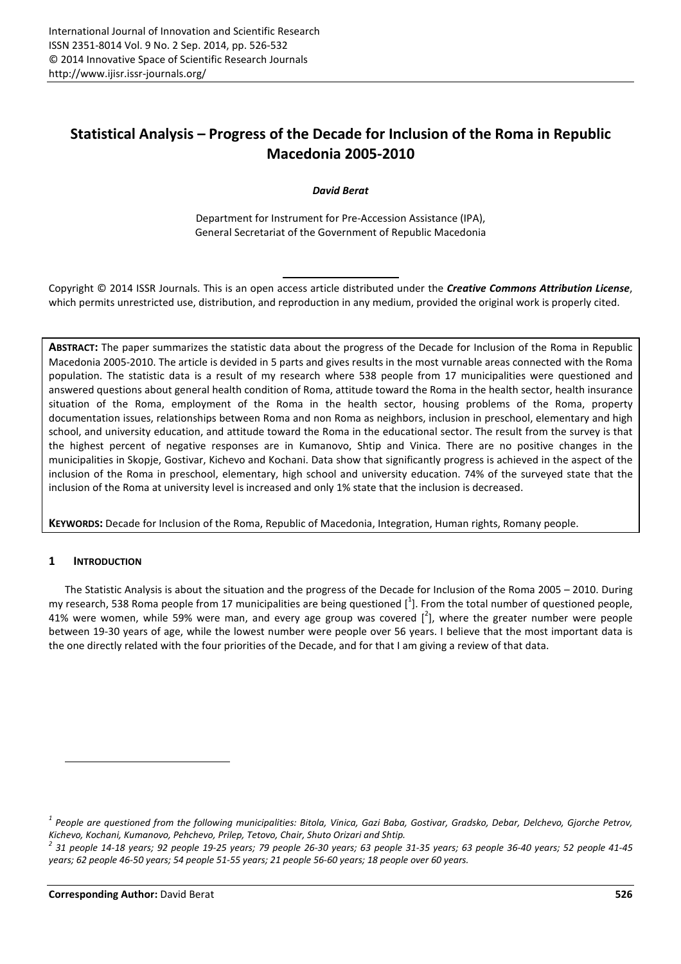# **Statistical Analysis – Progress of the Decade for Inclusion of the Roma in Republic Macedonia 2005-2010**

*David Berat* 

Department for Instrument for Pre-Accession Assistance (IPA), General Secretariat of the Government of Republic Macedonia

Copyright © 2014 ISSR Journals. This is an open access article distributed under the *Creative Commons Attribution License*, which permits unrestricted use, distribution, and reproduction in any medium, provided the original work is properly cited.

**ABSTRACT:** The paper summarizes the statistic data about the progress of the Decade for Inclusion of the Roma in Republic Macedonia 2005-2010. The article is devided in 5 parts and gives results in the most vurnable areas connected with the Roma population. The statistic data is a result of my research where 538 people from 17 municipalities were questioned and answered questions about general health condition of Roma, attitude toward the Roma in the health sector, health insurance situation of the Roma, employment of the Roma in the health sector, housing problems of the Roma, property documentation issues, relationships between Roma and non Roma as neighbors, inclusion in preschool, elementary and high school, and university education, and attitude toward the Roma in the educational sector. The result from the survey is that the highest percent of negative responses are in Kumanovo, Shtip and Vinica. There are no positive changes in the municipalities in Skopje, Gostivar, Kichevo and Kochani. Data show that significantly progress is achieved in the aspect of the inclusion of the Roma in preschool, elementary, high school and university education. 74% of the surveyed state that the inclusion of the Roma at university level is increased and only 1% state that the inclusion is decreased.

**KEYWORDS:** Decade for Inclusion of the Roma, Republic of Macedonia, Integration, Human rights, Romany people.

# **1 INTRODUCTION**

 $\overline{\phantom{a}}$ 

The Statistic Analysis is about the situation and the progress of the Decade for Inclusion of the Roma 2005 – 2010. During my research, 538 Roma people from 17 municipalities are being questioned  $[^1]$ . From the total number of questioned people, 41% were women, while 59% were man, and every age group was covered  $[^2]$ , where the greater number were people between 19-30 years of age, while the lowest number were people over 56 years. I believe that the most important data is the one directly related with the four priorities of the Decade, and for that I am giving a review of that data.

*<sup>1</sup> People are questioned from the following municipalities: Bitola, Vinica, Gazi Baba, Gostivar, Gradsko, Debar, Delchevo, Gjorche Petrov, Kichevo, Kochani, Kumanovo, Pehchevo, Prilep, Tetovo, Chair, Shuto Orizari and Shtip.* 

*<sup>2</sup> 31 people 14-18 years; 92 people 19-25 years; 79 people 26-30 years; 63 people 31-35 years; 63 people 36-40 years; 52 people 41-45 years; 62 people 46-50 years; 54 people 51-55 years; 21 people 56-60 years; 18 people over 60 years.*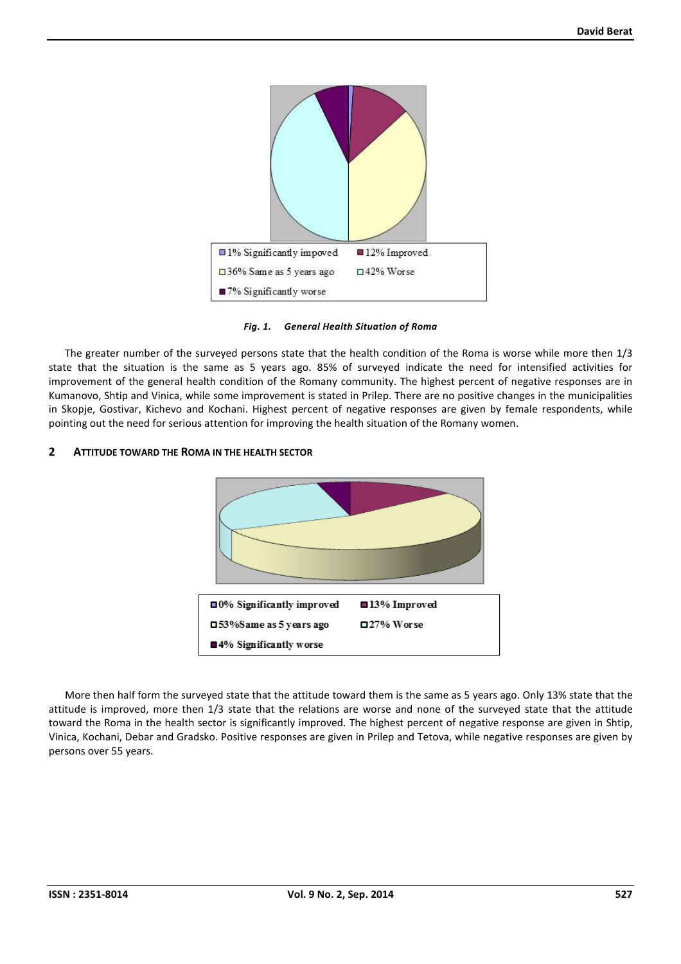

## *Fig. 1. General Health Situation of Roma*

The greater number of the surveyed persons state that the health condition of the Roma is worse while more then 1/3 state that the situation is the same as 5 years ago. 85% of surveyed indicate the need for intensified activities for improvement of the general health condition of the Romany community. The highest percent of negative responses are in Kumanovo, Shtip and Vinica, while some improvement is stated in Prilep. There are no positive changes in the municipalities in Skopje, Gostivar, Kichevo and Kochani. Highest percent of negative responses are given by female respondents, while pointing out the need for serious attention for improving the health situation of the Romany women.

#### **2 ATTITUDE TOWARD THE ROMA IN THE HEALTH SECTOR**



More then half form the surveyed state that the attitude toward them is the same as 5 years ago. Only 13% state that the attitude is improved, more then 1/3 state that the relations are worse and none of the surveyed state that the attitude toward the Roma in the health sector is significantly improved. The highest percent of negative response are given in Shtip, Vinica, Kochani, Debar and Gradsko. Positive responses are given in Prilep and Tetova, while negative responses are given by persons over 55 years.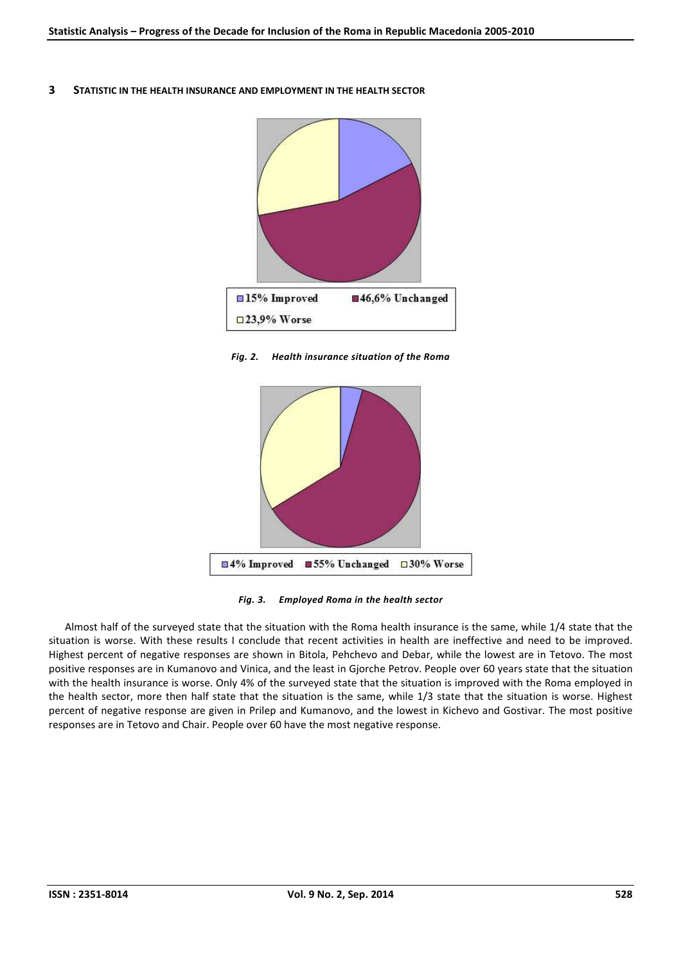**3 STATISTIC IN THE HEALTH INSURANCE AND EMPLOYMENT IN THE HEALTH SECTOR**



*Fig. 2. Health insurance situation of the Roma* 



*Fig. 3. Employed Roma in the health sector* 

Almost half of the surveyed state that the situation with the Roma health insurance is the same, while 1/4 state that the situation is worse. With these results I conclude that recent activities in health are ineffective and need to be improved. Highest percent of negative responses are shown in Bitola, Pehchevo and Debar, while the lowest are in Tetovo. The most positive responses are in Kumanovo and Vinica, and the least in Gjorche Petrov. People over 60 years state that the situation with the health insurance is worse. Only 4% of the surveyed state that the situation is improved with the Roma employed in the health sector, more then half state that the situation is the same, while 1/3 state that the situation is worse. Highest percent of negative response are given in Prilep and Kumanovo, and the lowest in Kichevo and Gostivar. The most positive responses are in Tetovo and Chair. People over 60 have the most negative response.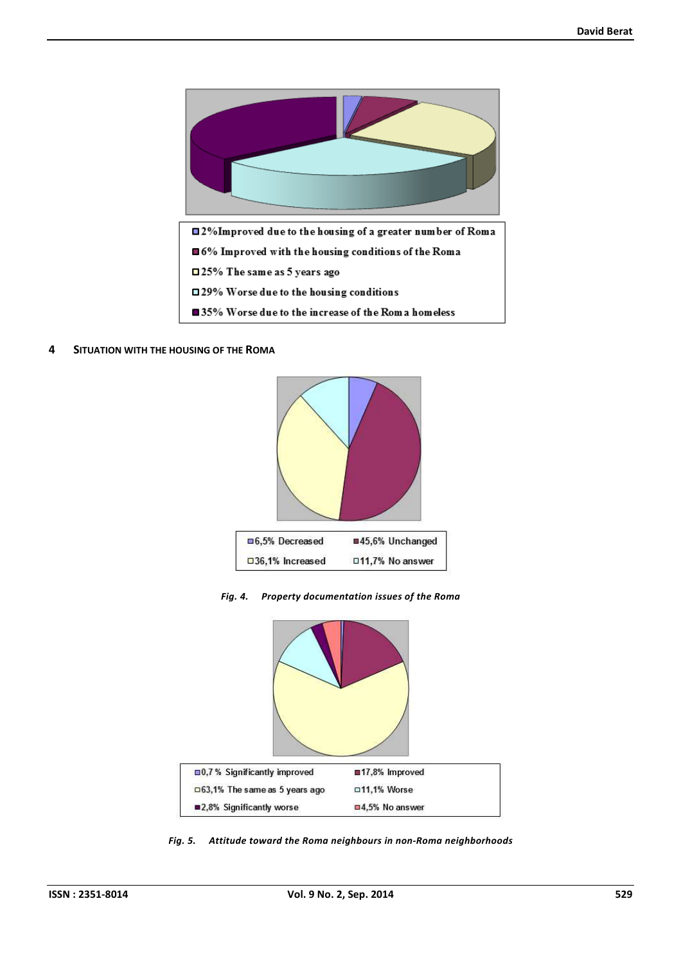

**4 SITUATION WITH THE HOUSING OF THE ROMA**



*Fig. 4. Property documentation issues of the Roma* 



*Fig. 5. Attitude toward the Roma neighbours in non-Roma neighborhoods*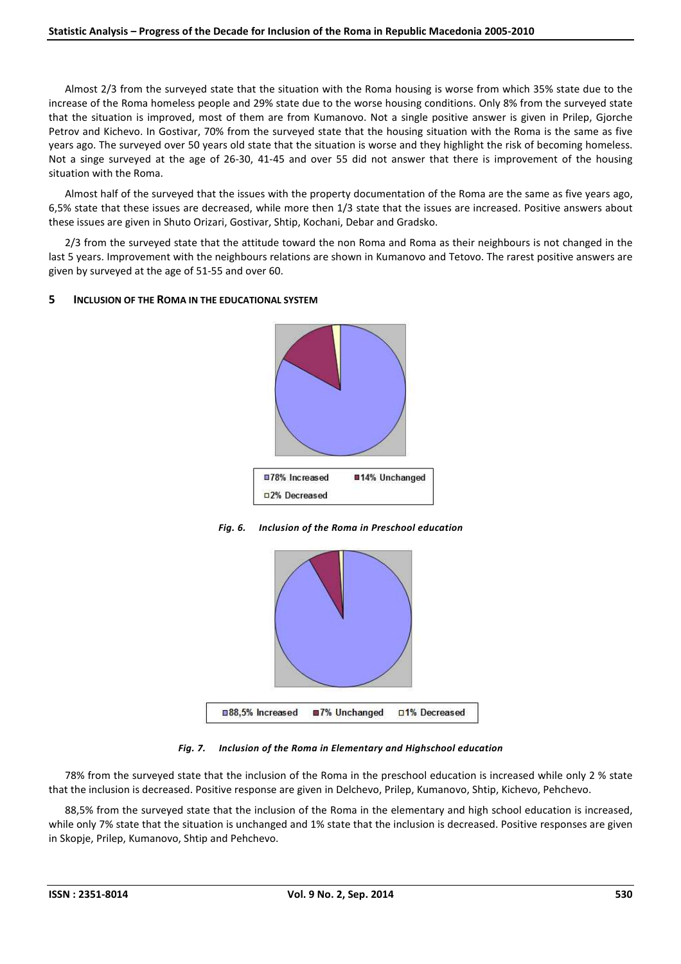Almost 2/3 from the surveyed state that the situation with the Roma housing is worse from which 35% state due to the increase of the Roma homeless people and 29% state due to the worse housing conditions. Only 8% from the surveyed state that the situation is improved, most of them are from Kumanovo. Not a single positive answer is given in Prilep, Gjorche Petrov and Kichevo. In Gostivar, 70% from the surveyed state that the housing situation with the Roma is the same as five years ago. The surveyed over 50 years old state that the situation is worse and they highlight the risk of becoming homeless. Not a singe surveyed at the age of 26-30, 41-45 and over 55 did not answer that there is improvement of the housing situation with the Roma.

Almost half of the surveyed that the issues with the property documentation of the Roma are the same as five years ago, 6,5% state that these issues are decreased, while more then 1/3 state that the issues are increased. Positive answers about these issues are given in Shuto Orizari, Gostivar, Shtip, Kochani, Debar and Gradsko.

2/3 from the surveyed state that the attitude toward the non Roma and Roma as their neighbours is not changed in the last 5 years. Improvement with the neighbours relations are shown in Kumanovo and Tetovo. The rarest positive answers are given by surveyed at the age of 51-55 and over 60.

# **5 INCLUSION OF THE ROMA IN THE EDUCATIONAL SYSTEM**



*Fig. 6. Inclusion of the Roma in Preschool education* 



*Fig. 7. Inclusion of the Roma in Elementary and Highschool education* 

78% from the surveyed state that the inclusion of the Roma in the preschool education is increased while only 2 % state that the inclusion is decreased. Positive response are given in Delchevo, Prilep, Kumanovo, Shtip, Kichevo, Pehchevo.

88,5% from the surveyed state that the inclusion of the Roma in the elementary and high school education is increased, while only 7% state that the situation is unchanged and 1% state that the inclusion is decreased. Positive responses are given in Skopje, Prilep, Kumanovo, Shtip and Pehchevo.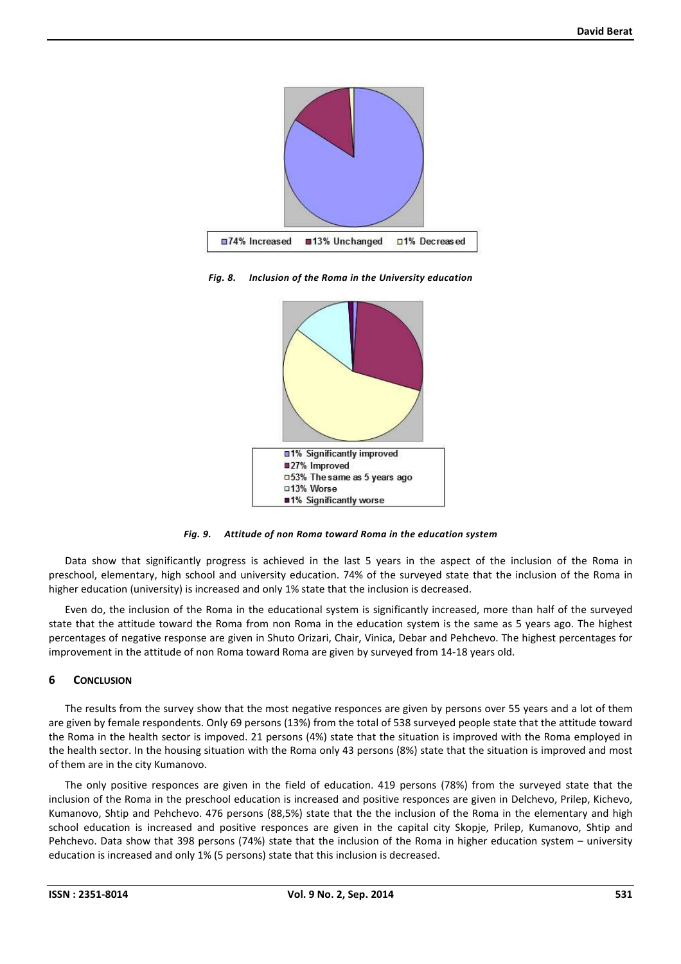

*Fig. 8. Inclusion of the Roma in the University education* 



*Fig. 9. Attitude of non Roma toward Roma in the education system* 

Data show that significantly progress is achieved in the last 5 years in the aspect of the inclusion of the Roma in preschool, elementary, high school and university education. 74% of the surveyed state that the inclusion of the Roma in higher education (university) is increased and only 1% state that the inclusion is decreased.

Even do, the inclusion of the Roma in the educational system is significantly increased, more than half of the surveyed state that the attitude toward the Roma from non Roma in the education system is the same as 5 years ago. The highest percentages of negative response are given in Shuto Orizari, Chair, Vinica, Debar and Pehchevo. The highest percentages for improvement in the attitude of non Roma toward Roma are given by surveyed from 14-18 years old.

## **6 CONCLUSION**

The results from the survey show that the most negative responces are given by persons over 55 years and a lot of them are given by female respondents. Only 69 persons (13%) from the total of 538 surveyed people state that the attitude toward the Roma in the health sector is impoved. 21 persons (4%) state that the situation is improved with the Roma employed in the health sector. In the housing situation with the Roma only 43 persons (8%) state that the situation is improved and most of them are in the city Kumanovo.

The only positive responces are given in the field of education. 419 persons (78%) from the surveyed state that the inclusion of the Roma in the preschool education is increased and positive responces are given in Delchevo, Prilep, Kichevo, Kumanovo, Shtip and Pehchevo. 476 persons (88,5%) state that the the inclusion of the Roma in the elementary and high school education is increased and positive responces are given in the capital city Skopje, Prilep, Kumanovo, Shtip and Pehchevo. Data show that 398 persons (74%) state that the inclusion of the Roma in higher education system – university education is increased and only 1% (5 persons) state that this inclusion is decreased.